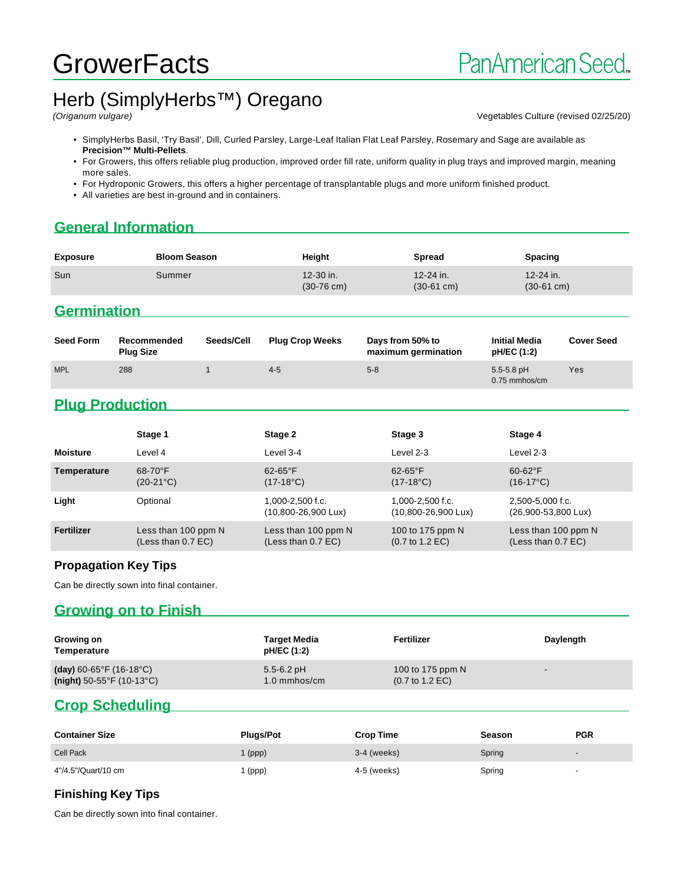## **GrowerFacts**

# Herb (SimplyHerbs<sup>™</sup>) Oregano

Vegetables Culture (revised 02/25/20)

- SimplyHerbs Basil, 'Try Basil', Dill, Curled Parsley, Large-Leaf Italian Flat Leaf Parsley, Rosemary and Sage are available as **Precision™ Multi-Pellets**.
- For Growers, this offers reliable plug production, improved order fill rate, uniform quality in plug trays and improved margin, meaning more sales.
- For Hydroponic Growers, this offers a higher percentage of transplantable plugs and more uniform finished product.
- All varieties are best in-ground and in containers.

## **General Information**

| <b>Exposure</b>    | <b>Bloom Season</b> | Height                            | Spread                                | <b>Spacing</b>                        |
|--------------------|---------------------|-----------------------------------|---------------------------------------|---------------------------------------|
| Sun                | Summer              | 12-30 in.<br>$(30-76 \text{ cm})$ | $12 - 24$ in.<br>$(30-61 \text{ cm})$ | $12 - 24$ in.<br>$(30-61 \text{ cm})$ |
| <b>Germination</b> |                     |                                   |                                       |                                       |

| <b>Seed Form</b> | Recommended<br><b>Plug Size</b> | Seeds/Cell | <b>Plug Crop Weeks</b> | Days from 50% to<br>maximum germination | <b>Initial Media</b><br>pH/EC (1:2) | <b>Cover Seed</b> |
|------------------|---------------------------------|------------|------------------------|-----------------------------------------|-------------------------------------|-------------------|
| <b>MPL</b>       | 288                             |            | $4 - 5$                | $5-8$                                   | $5.5 - 5.8$ pH<br>0.75 mmhos/cm     | Yes               |

## **Plug Production**

|                 | Stage 1                                     | Stage 2                                             | Stage 3                                                | Stage 4                                     |
|-----------------|---------------------------------------------|-----------------------------------------------------|--------------------------------------------------------|---------------------------------------------|
| <b>Moisture</b> | Level 4                                     | Level 3-4                                           | Level 2-3                                              | Level 2-3                                   |
| Temperature     | $68-70$ °F<br>$(20-21^{\circ}C)$            | $62-65$ °F<br>$(17-18^{\circ}C)$                    | $62-65$ °F<br>$(17-18^{\circ}C)$                       | $60-62$ °F<br>$(16-17^{\circ}C)$            |
| Light           | Optional                                    | 1,000-2,500 f.c.<br>$(10,800 - 26,900 \text{ Lux})$ | $1.000 - 2.500$ f.c.<br>(10,800-26,900 Lux)            | 2.500-5.000 f.c.<br>(26,900-53,800 Lux)     |
| Fertilizer      | Less than 100 ppm N<br>(Less than $0.7$ EC) | Less than 100 ppm N<br>(Less than 0.7 EC)           | 100 to 175 ppm N<br>$(0.7 \text{ to } 1.2 \text{ EC})$ | Less than 100 ppm N<br>(Less than $0.7$ EC) |

#### **Propagation Key Tips**

Can be directly sown into final container.

## **Growing on to Finish**

| Growing on<br>Temperature                      | <b>Target Media</b><br>pH/EC (1:2) | Fertilizer                         | Daylength                |
|------------------------------------------------|------------------------------------|------------------------------------|--------------------------|
| (day) $60 - 65^{\circ}$ F (16-18 $^{\circ}$ C) | $5.5 - 6.2$ pH                     | 100 to 175 ppm N                   | $\overline{\phantom{0}}$ |
| (night) $50-55^{\circ}$ F (10-13 $^{\circ}$ C) | $1.0 \text{ mm}$ hos/cm            | $(0.7 \text{ to } 1.2 \text{ EC})$ |                          |

## **Crop Scheduling**

| <b>Container Size</b> | <b>Plugs/Pot</b> | <b>Crop Time</b> | Season | <b>PGR</b>               |
|-----------------------|------------------|------------------|--------|--------------------------|
| <b>Cell Pack</b>      | $\mid$ (ppp)     | $3-4$ (weeks)    | Spring | $\overline{\phantom{0}}$ |
| 4"/4.5"/Quart/10 cm   | (ppp)            | 4-5 (weeks)      | Spring | $\overline{\phantom{0}}$ |

#### **Finishing Key Tips**

Can be directly sown into final container.